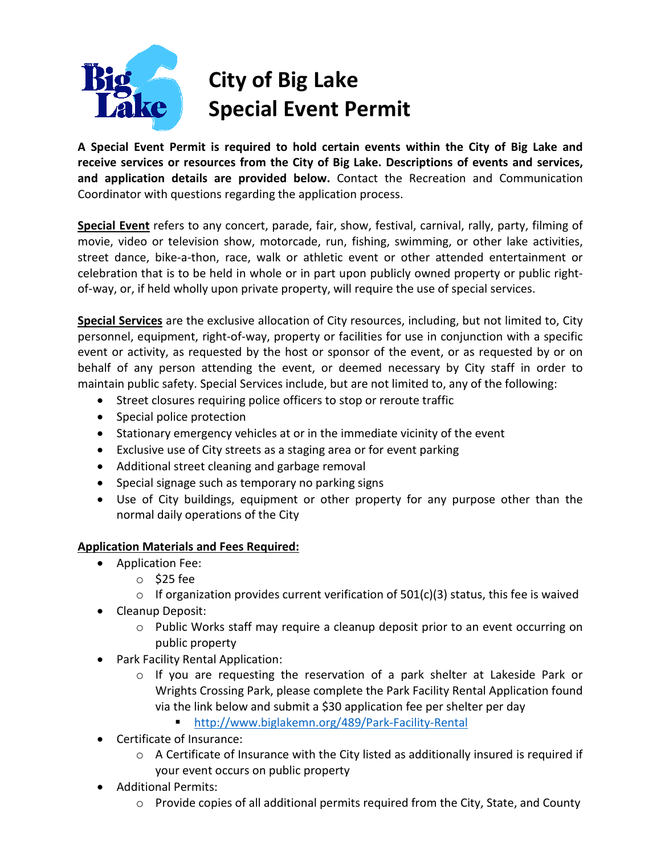

**A Special Event Permit is required to hold certain events within the City of Big Lake and receive services or resources from the City of Big Lake. Descriptions of events and services, and application details are provided below.** Contact the Recreation and Communication Coordinator with questions regarding the application process.

**Special Event** refers to any concert, parade, fair, show, festival, carnival, rally, party, filming of movie, video or television show, motorcade, run, fishing, swimming, or other lake activities, street dance, bike-a-thon, race, walk or athletic event or other attended entertainment or celebration that is to be held in whole or in part upon publicly owned property or public rightof-way, or, if held wholly upon private property, will require the use of special services.

**Special Services** are the exclusive allocation of City resources, including, but not limited to, City personnel, equipment, right-of-way, property or facilities for use in conjunction with a specific event or activity, as requested by the host or sponsor of the event, or as requested by or on behalf of any person attending the event, or deemed necessary by City staff in order to maintain public safety. Special Services include, but are not limited to, any of the following:

- Street closures requiring police officers to stop or reroute traffic
- Special police protection
- Stationary emergency vehicles at or in the immediate vicinity of the event
- Exclusive use of City streets as a staging area or for event parking
- Additional street cleaning and garbage removal
- Special signage such as temporary no parking signs
- Use of City buildings, equipment or other property for any purpose other than the normal daily operations of the City

## **Application Materials and Fees Required:**

- Application Fee:
	- $\circ$  \$25 fee
	- $\circ$  If organization provides current verification of 501(c)(3) status, this fee is waived
- Cleanup Deposit:
	- $\circ$  Public Works staff may require a cleanup deposit prior to an event occurring on public property
- Park Facility Rental Application:
	- o If you are requesting the reservation of a park shelter at Lakeside Park or Wrights Crossing Park, please complete the Park Facility Rental Application found via the link below and submit a \$30 application fee per shelter per day
		- <http://www.biglakemn.org/489/Park-Facility-Rental>
- Certificate of Insurance:
	- $\circ$  A Certificate of Insurance with the City listed as additionally insured is required if your event occurs on public property
- Additional Permits:
	- $\circ$  Provide copies of all additional permits required from the City, State, and County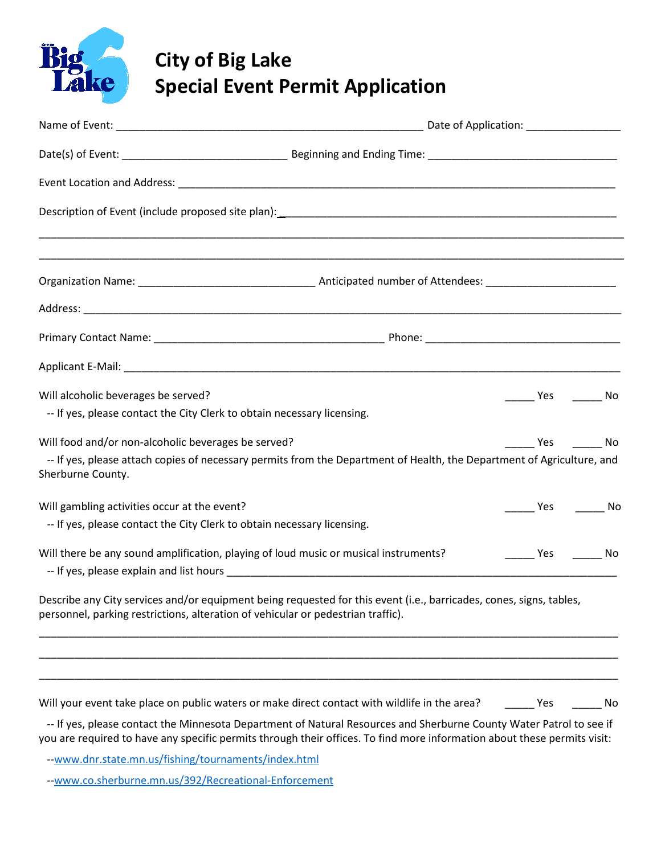

## **City of Big Lake Special Event Permit Application**

| Will alcoholic beverages be served?<br>-- If yes, please contact the City Clerk to obtain necessary licensing.                                                                                                                                                                                                                                   |  | No Ves No                |                    |
|--------------------------------------------------------------------------------------------------------------------------------------------------------------------------------------------------------------------------------------------------------------------------------------------------------------------------------------------------|--|--------------------------|--------------------|
| Will food and/or non-alcoholic beverages be served?<br>-- If yes, please attach copies of necessary permits from the Department of Health, the Department of Agriculture, and<br>Sherburne County.                                                                                                                                               |  | No Prestigation No. 2016 |                    |
| Will gambling activities occur at the event?<br>-- If yes, please contact the City Clerk to obtain necessary licensing.                                                                                                                                                                                                                          |  | Yes                      | <b>Solution</b> No |
| Will there be any sound amplification, playing of loud music or musical instruments?                                                                                                                                                                                                                                                             |  | No Ves                   |                    |
| Describe any City services and/or equipment being requested for this event (i.e., barricades, cones, signs, tables,<br>personnel, parking restrictions, alteration of vehicular or pedestrian traffic).                                                                                                                                          |  |                          |                    |
|                                                                                                                                                                                                                                                                                                                                                  |  |                          |                    |
| Will your event take place on public waters or make direct contact with wildlife in the area?<br>-- If yes, please contact the Minnesota Department of Natural Resources and Sherburne County Water Patrol to see if<br>you are required to have any specific permits through their offices. To find more information about these permits visit: |  | Yes                      | No                 |

- --www.dnr.state.mn.us/fishing/tournaments/index.html
- -[-www.co.sherburne.mn.us/392/Recreational-Enforcement](https://www.co.sherburne.mn.us/392/Recreational-Enforcement)